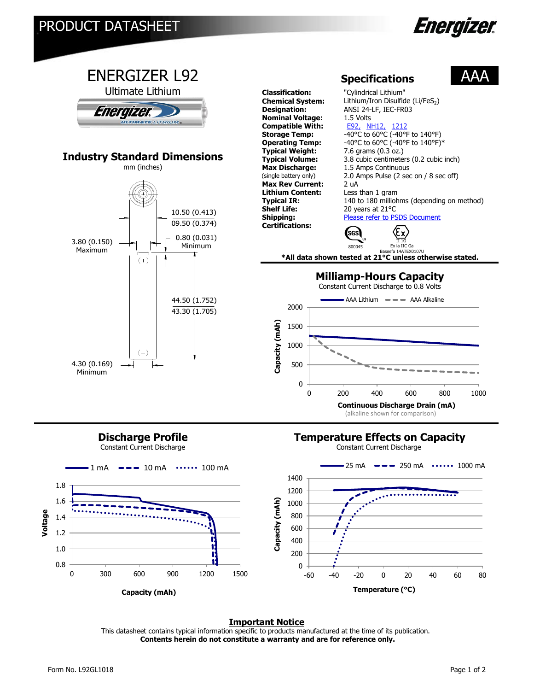



## **Discharge Profile**

Constant Current Discharge

## **Temperature Effects on Capacity**

Constant Current Discharge



#### **Important Notice**

This datasheet contains typical information specific to products manufactured at the time of its publication.  **Contents herein do not constitute a warranty and are for reference only.**